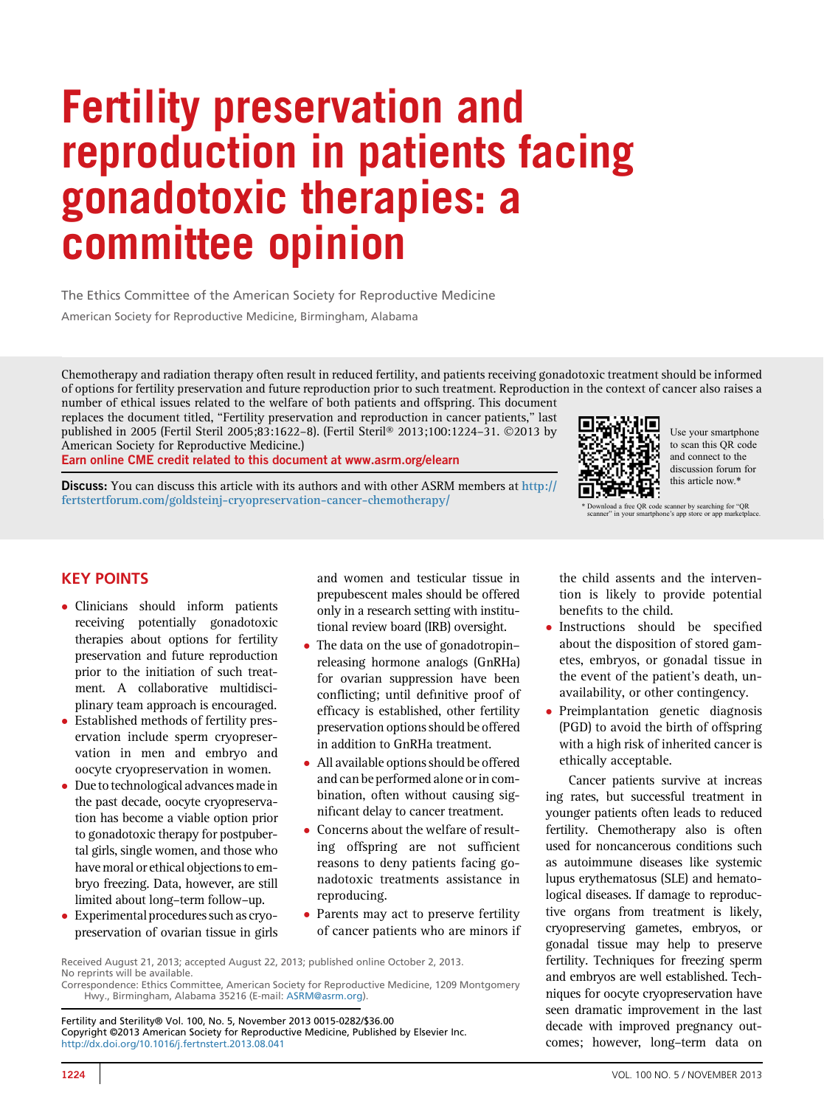# Fertility preservation and reproduction in patients facing gonadotoxic therapies: a committee opinion

The Ethics Committee of the American Society for Reproductive Medicine

American Society for Reproductive Medicine, Birmingham, Alabama

Chemotherapy and radiation therapy often result in reduced fertility, and patients receiving gonadotoxic treatment should be informed of options for fertility preservation and future reproduction prior to such treatment. Reproduction in the context of cancer also raises a number of ethical issues related to the welfare of both patients and offspring. This document

replaces the document titled, "Fertility preservation and reproduction in cancer patients," last published in 2005 (Fertil Steril 2005;83:1622–8). (Fertil Steril 2013;100:1224–31. 2013 by American Society for Reproductive Medicine.)

Earn online CME credit related to this document at [www.asrm.org/elearn](http://www.asrm.org/elearn)

Discuss: You can discuss this article with its authors and with other ASRM members at [http://](http://fertstertforum.com/goldsteinj-cryopreservation-cancer-chemotherapy/) [fertstertforum.com/goldsteinj-cryopreservation-cancer-chemotherapy/](http://fertstertforum.com/goldsteinj-cryopreservation-cancer-chemotherapy/)



Use your smartphone to scan this QR code and connect to the discussion forum for this article now.\*

\* Download a free QR code scanner by searching for "QR scanner" in your smartphone's app store or app marketplace.

## KEY POINTS

- Clinicians should inform patients receiving potentially gonadotoxic therapies about options for fertility preservation and future reproduction prior to the initiation of such treatment. A collaborative multidisciplinary team approach is encouraged.
- Established methods of fertility preservation include sperm cryopreservation in men and embryo and oocyte cryopreservation in women.
- Due to technological advances made in the past decade, oocyte cryopreservation has become a viable option prior to gonadotoxic therapy for postpubertal girls, single women, and those who have moral or ethical objections to embryo freezing. Data, however, are still limited about long–term follow–up.
- Experimental procedures such as cryopreservation of ovarian tissue in girls

and women and testicular tissue in prepubescent males should be offered only in a research setting with institutional review board (IRB) oversight.

- The data on the use of gonadotropin– releasing hormone analogs (GnRHa) for ovarian suppression have been conflicting; until definitive proof of efficacy is established, other fertility preservation options should be offered in addition to GnRHa treatment.
- All available options should be offered and can be performed alone or in combination, often without causing significant delay to cancer treatment.
- Concerns about the welfare of resulting offspring are not sufficient reasons to deny patients facing gonadotoxic treatments assistance in reproducing.
- Parents may act to preserve fertility of cancer patients who are minors if

Received August 21, 2013; accepted August 22, 2013; published online October 2, 2013. No reprints will be available.

Correspondence: Ethics Committee, American Society for Reproductive Medicine, 1209 Montgomery Hwy., Birmingham, Alabama 35216 (E-mail: [ASRM@asrm.org\)](mailto:ASRM@asrm.org).

Fertility and Sterility® Vol. 100, No. 5, November 2013 0015-0282/\$36.00 Copyright ©2013 American Society for Reproductive Medicine, Published by Elsevier Inc. <http://dx.doi.org/10.1016/j.fertnstert.2013.08.041>

the child assents and the intervention is likely to provide potential benefits to the child.

- Instructions should be specified about the disposition of stored gametes, embryos, or gonadal tissue in the event of the patient's death, unavailability, or other contingency.
- Preimplantation genetic diagnosis (PGD) to avoid the birth of offspring with a high risk of inherited cancer is ethically acceptable.

Cancer patients survive at increas ing rates, but successful treatment in younger patients often leads to reduced fertility. Chemotherapy also is often used for noncancerous conditions such as autoimmune diseases like systemic lupus erythematosus (SLE) and hematological diseases. If damage to reproductive organs from treatment is likely, cryopreserving gametes, embryos, or gonadal tissue may help to preserve fertility. Techniques for freezing sperm and embryos are well established. Techniques for oocyte cryopreservation have seen dramatic improvement in the last decade with improved pregnancy outcomes; however, long–term data on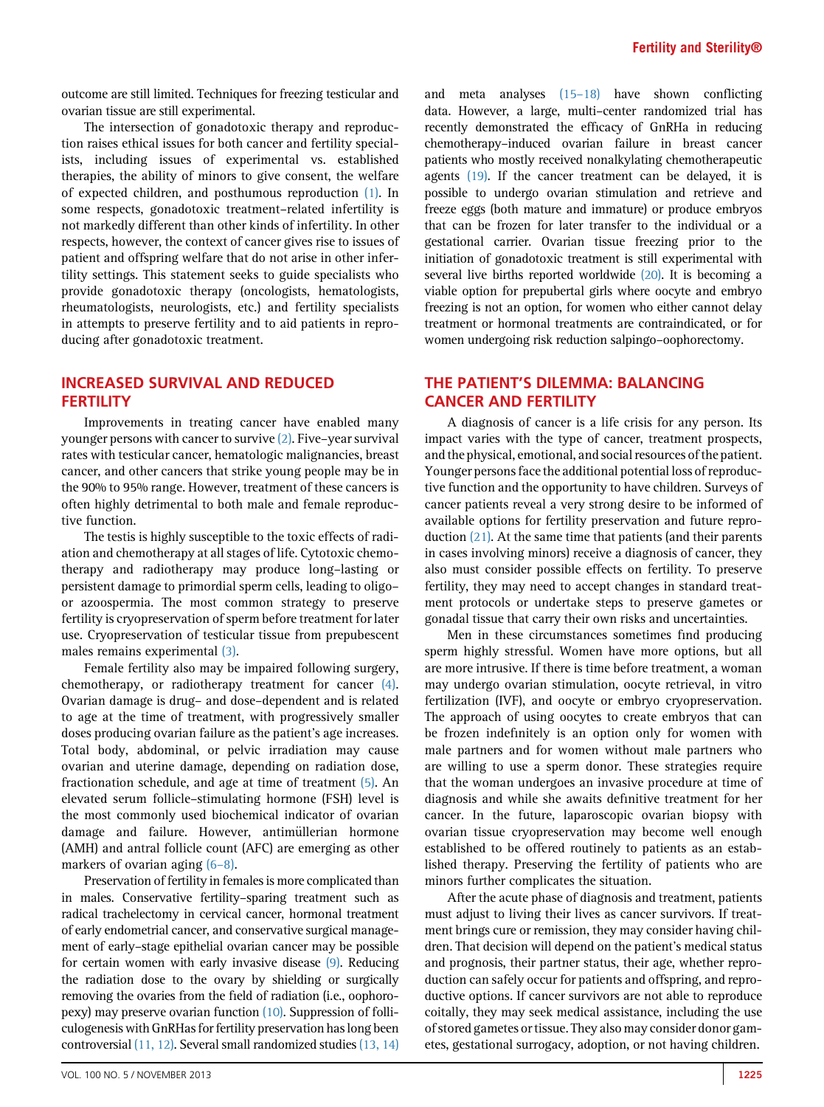outcome are still limited. Techniques for freezing testicular and ovarian tissue are still experimental.

The intersection of gonadotoxic therapy and reproduction raises ethical issues for both cancer and fertility specialists, including issues of experimental vs. established therapies, the ability of minors to give consent, the welfare of expected children, and posthumous reproduction [\(1\).](#page-6-0) In some respects, gonadotoxic treatment–related infertility is not markedly different than other kinds of infertility. In other respects, however, the context of cancer gives rise to issues of patient and offspring welfare that do not arise in other infertility settings. This statement seeks to guide specialists who provide gonadotoxic therapy (oncologists, hematologists, rheumatologists, neurologists, etc.) and fertility specialists in attempts to preserve fertility and to aid patients in reproducing after gonadotoxic treatment.

## INCREASED SURVIVAL AND REDUCED **FERTILITY**

Improvements in treating cancer have enabled many younger persons with cancer to survive [\(2\)](#page-6-0). Five–year survival rates with testicular cancer, hematologic malignancies, breast cancer, and other cancers that strike young people may be in the 90% to 95% range. However, treatment of these cancers is often highly detrimental to both male and female reproductive function.

The testis is highly susceptible to the toxic effects of radiation and chemotherapy at all stages of life. Cytotoxic chemotherapy and radiotherapy may produce long–lasting or persistent damage to primordial sperm cells, leading to oligo– or azoospermia. The most common strategy to preserve fertility is cryopreservation of sperm before treatment for later use. Cryopreservation of testicular tissue from prepubescent males remains experimental [\(3\)](#page-6-0).

Female fertility also may be impaired following surgery, chemotherapy, or radiotherapy treatment for cancer [\(4\).](#page-6-0) Ovarian damage is drug– and dose–dependent and is related to age at the time of treatment, with progressively smaller doses producing ovarian failure as the patient's age increases. Total body, abdominal, or pelvic irradiation may cause ovarian and uterine damage, depending on radiation dose, fractionation schedule, and age at time of treatment [\(5\)](#page-6-0). An elevated serum follicle–stimulating hormone (FSH) level is the most commonly used biochemical indicator of ovarian damage and failure. However, antimüllerian hormone (AMH) and antral follicle count (AFC) are emerging as other markers of ovarian aging (6–[8\).](#page-6-0)

Preservation of fertility in females is more complicated than in males. Conservative fertility–sparing treatment such as radical trachelectomy in cervical cancer, hormonal treatment of early endometrial cancer, and conservative surgical management of early–stage epithelial ovarian cancer may be possible for certain women with early invasive disease [\(9\).](#page-6-0) Reducing the radiation dose to the ovary by shielding or surgically removing the ovaries from the field of radiation (i.e., oophoropexy) may preserve ovarian function [\(10\).](#page-6-0) Suppression of folliculogenesis with GnRHas for fertility preservation has long been controversial [\(11, 12\).](#page-6-0) Several small randomized studies [\(13, 14\)](#page-6-0)

and meta analyses [\(15](#page-6-0)–18) have shown conflicting data. However, a large, multi–center randomized trial has recently demonstrated the efficacy of GnRHa in reducing chemotherapy–induced ovarian failure in breast cancer patients who mostly received nonalkylating chemotherapeutic agents [\(19\).](#page-6-0) If the cancer treatment can be delayed, it is possible to undergo ovarian stimulation and retrieve and freeze eggs (both mature and immature) or produce embryos that can be frozen for later transfer to the individual or a gestational carrier. Ovarian tissue freezing prior to the initiation of gonadotoxic treatment is still experimental with several live births reported worldwide [\(20\)](#page-6-0). It is becoming a viable option for prepubertal girls where oocyte and embryo freezing is not an option, for women who either cannot delay treatment or hormonal treatments are contraindicated, or for women undergoing risk reduction salpingo–oophorectomy.

# THE PATIENT'S DILEMMA: BALANCING CANCER AND FERTILITY

A diagnosis of cancer is a life crisis for any person. Its impact varies with the type of cancer, treatment prospects, and the physical, emotional, and social resources of the patient. Younger persons face the additional potential loss of reproductive function and the opportunity to have children. Surveys of cancer patients reveal a very strong desire to be informed of available options for fertility preservation and future reproduction [\(21\)](#page-6-0). At the same time that patients (and their parents in cases involving minors) receive a diagnosis of cancer, they also must consider possible effects on fertility. To preserve fertility, they may need to accept changes in standard treatment protocols or undertake steps to preserve gametes or gonadal tissue that carry their own risks and uncertainties.

Men in these circumstances sometimes find producing sperm highly stressful. Women have more options, but all are more intrusive. If there is time before treatment, a woman may undergo ovarian stimulation, oocyte retrieval, in vitro fertilization (IVF), and oocyte or embryo cryopreservation. The approach of using oocytes to create embryos that can be frozen indefinitely is an option only for women with male partners and for women without male partners who are willing to use a sperm donor. These strategies require that the woman undergoes an invasive procedure at time of diagnosis and while she awaits definitive treatment for her cancer. In the future, laparoscopic ovarian biopsy with ovarian tissue cryopreservation may become well enough established to be offered routinely to patients as an established therapy. Preserving the fertility of patients who are minors further complicates the situation.

After the acute phase of diagnosis and treatment, patients must adjust to living their lives as cancer survivors. If treatment brings cure or remission, they may consider having children. That decision will depend on the patient's medical status and prognosis, their partner status, their age, whether reproduction can safely occur for patients and offspring, and reproductive options. If cancer survivors are not able to reproduce coitally, they may seek medical assistance, including the use of stored gametes or tissue. They also may consider donor gametes, gestational surrogacy, adoption, or not having children.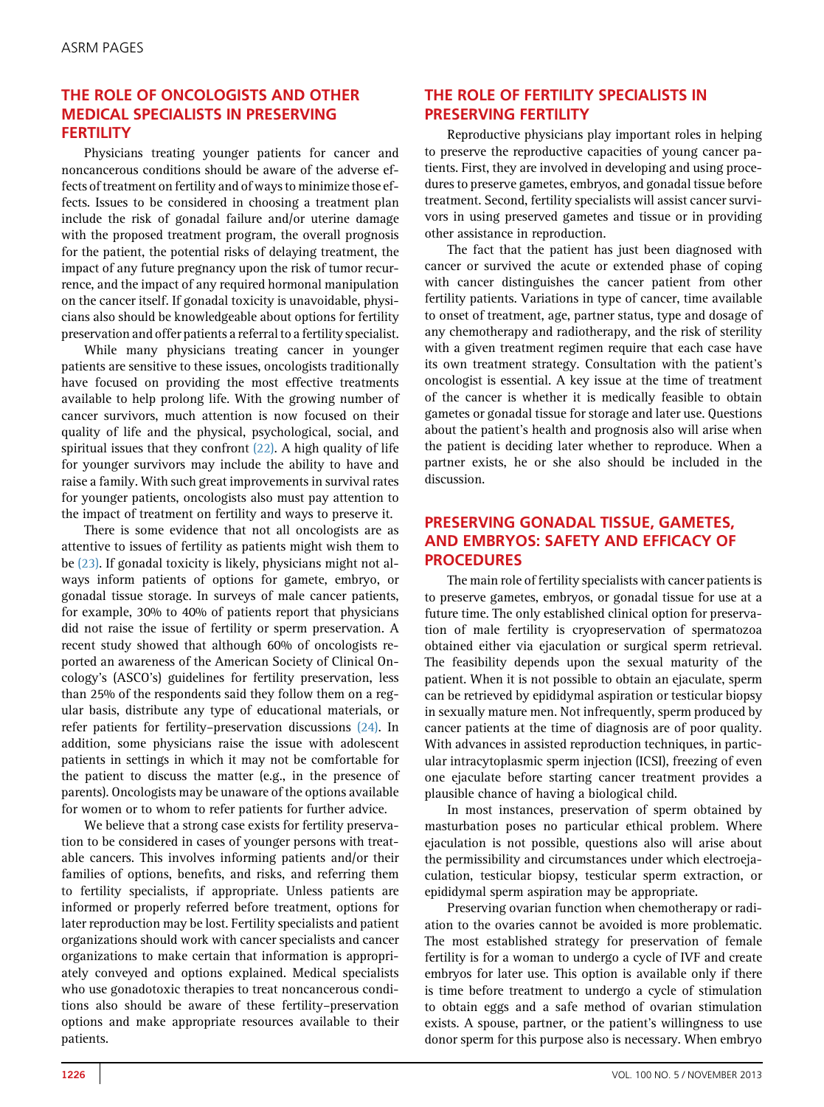# THE ROLE OF ONCOLOGISTS AND OTHER MEDICAL SPECIALISTS IN PRESERVING **FERTILITY**

Physicians treating younger patients for cancer and noncancerous conditions should be aware of the adverse effects of treatment on fertility and of ways to minimize those effects. Issues to be considered in choosing a treatment plan include the risk of gonadal failure and/or uterine damage with the proposed treatment program, the overall prognosis for the patient, the potential risks of delaying treatment, the impact of any future pregnancy upon the risk of tumor recurrence, and the impact of any required hormonal manipulation on the cancer itself. If gonadal toxicity is unavoidable, physicians also should be knowledgeable about options for fertility preservation and offer patients a referral to a fertility specialist.

While many physicians treating cancer in younger patients are sensitive to these issues, oncologists traditionally have focused on providing the most effective treatments available to help prolong life. With the growing number of cancer survivors, much attention is now focused on their quality of life and the physical, psychological, social, and spiritual issues that they confront [\(22\).](#page-6-0) A high quality of life for younger survivors may include the ability to have and raise a family. With such great improvements in survival rates for younger patients, oncologists also must pay attention to the impact of treatment on fertility and ways to preserve it.

There is some evidence that not all oncologists are as attentive to issues of fertility as patients might wish them to be [\(23\)](#page-6-0). If gonadal toxicity is likely, physicians might not always inform patients of options for gamete, embryo, or gonadal tissue storage. In surveys of male cancer patients, for example, 30% to 40% of patients report that physicians did not raise the issue of fertility or sperm preservation. A recent study showed that although 60% of oncologists reported an awareness of the American Society of Clinical Oncology's (ASCO's) guidelines for fertility preservation, less than 25% of the respondents said they follow them on a regular basis, distribute any type of educational materials, or refer patients for fertility–preservation discussions [\(24\).](#page-6-0) In addition, some physicians raise the issue with adolescent patients in settings in which it may not be comfortable for the patient to discuss the matter (e.g., in the presence of parents). Oncologists may be unaware of the options available for women or to whom to refer patients for further advice.

We believe that a strong case exists for fertility preservation to be considered in cases of younger persons with treatable cancers. This involves informing patients and/or their families of options, benefits, and risks, and referring them to fertility specialists, if appropriate. Unless patients are informed or properly referred before treatment, options for later reproduction may be lost. Fertility specialists and patient organizations should work with cancer specialists and cancer organizations to make certain that information is appropriately conveyed and options explained. Medical specialists who use gonadotoxic therapies to treat noncancerous conditions also should be aware of these fertility–preservation options and make appropriate resources available to their patients.

# THE ROLE OF FERTILITY SPECIALISTS IN PRESERVING FERTILITY

Reproductive physicians play important roles in helping to preserve the reproductive capacities of young cancer patients. First, they are involved in developing and using procedures to preserve gametes, embryos, and gonadal tissue before treatment. Second, fertility specialists will assist cancer survivors in using preserved gametes and tissue or in providing other assistance in reproduction.

The fact that the patient has just been diagnosed with cancer or survived the acute or extended phase of coping with cancer distinguishes the cancer patient from other fertility patients. Variations in type of cancer, time available to onset of treatment, age, partner status, type and dosage of any chemotherapy and radiotherapy, and the risk of sterility with a given treatment regimen require that each case have its own treatment strategy. Consultation with the patient's oncologist is essential. A key issue at the time of treatment of the cancer is whether it is medically feasible to obtain gametes or gonadal tissue for storage and later use. Questions about the patient's health and prognosis also will arise when the patient is deciding later whether to reproduce. When a partner exists, he or she also should be included in the discussion.

# PRESERVING GONADAL TISSUE, GAMETES, AND EMBRYOS: SAFETY AND EFFICACY OF PROCEDURES

The main role of fertility specialists with cancer patients is to preserve gametes, embryos, or gonadal tissue for use at a future time. The only established clinical option for preservation of male fertility is cryopreservation of spermatozoa obtained either via ejaculation or surgical sperm retrieval. The feasibility depends upon the sexual maturity of the patient. When it is not possible to obtain an ejaculate, sperm can be retrieved by epididymal aspiration or testicular biopsy in sexually mature men. Not infrequently, sperm produced by cancer patients at the time of diagnosis are of poor quality. With advances in assisted reproduction techniques, in particular intracytoplasmic sperm injection (ICSI), freezing of even one ejaculate before starting cancer treatment provides a plausible chance of having a biological child.

In most instances, preservation of sperm obtained by masturbation poses no particular ethical problem. Where ejaculation is not possible, questions also will arise about the permissibility and circumstances under which electroejaculation, testicular biopsy, testicular sperm extraction, or epididymal sperm aspiration may be appropriate.

Preserving ovarian function when chemotherapy or radiation to the ovaries cannot be avoided is more problematic. The most established strategy for preservation of female fertility is for a woman to undergo a cycle of IVF and create embryos for later use. This option is available only if there is time before treatment to undergo a cycle of stimulation to obtain eggs and a safe method of ovarian stimulation exists. A spouse, partner, or the patient's willingness to use donor sperm for this purpose also is necessary. When embryo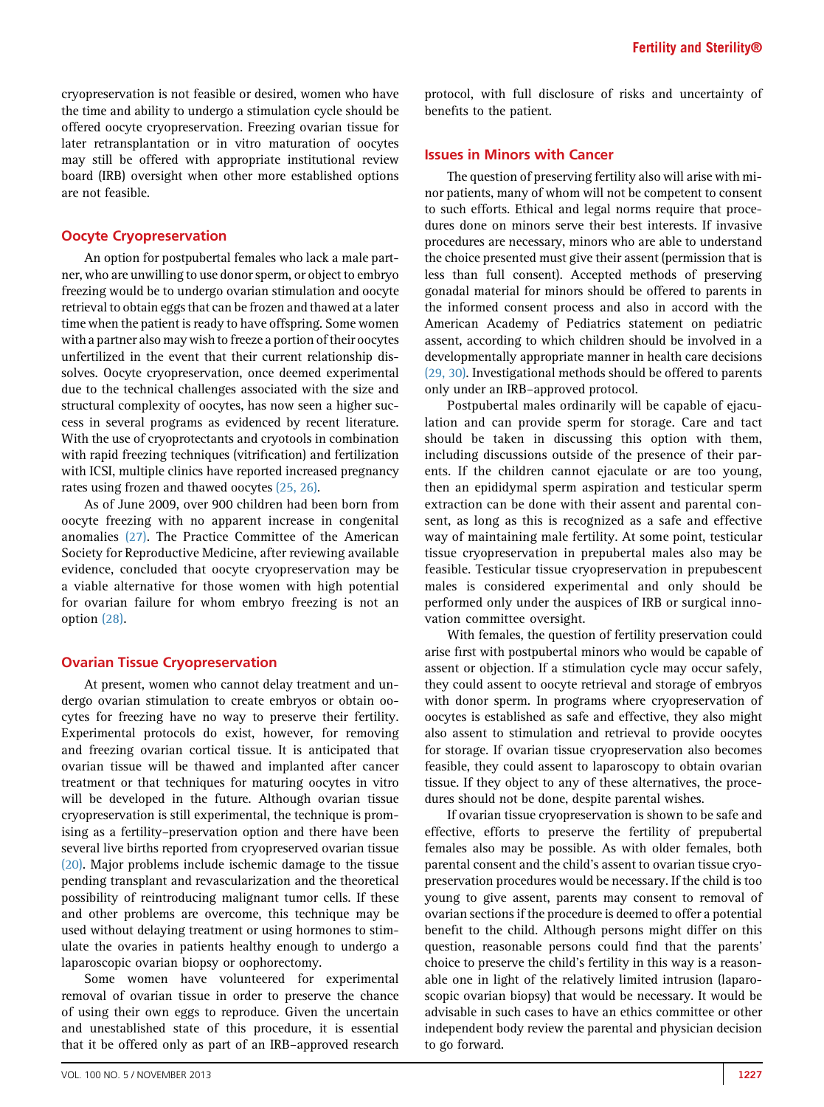cryopreservation is not feasible or desired, women who have the time and ability to undergo a stimulation cycle should be offered oocyte cryopreservation. Freezing ovarian tissue for later retransplantation or in vitro maturation of oocytes may still be offered with appropriate institutional review board (IRB) oversight when other more established options are not feasible.

### Oocyte Cryopreservation

An option for postpubertal females who lack a male partner, who are unwilling to use donor sperm, or object to embryo freezing would be to undergo ovarian stimulation and oocyte retrieval to obtain eggs that can be frozen and thawed at a later time when the patient is ready to have offspring. Some women with a partner also may wish to freeze a portion of their oocytes unfertilized in the event that their current relationship dissolves. Oocyte cryopreservation, once deemed experimental due to the technical challenges associated with the size and structural complexity of oocytes, has now seen a higher success in several programs as evidenced by recent literature. With the use of cryoprotectants and cryotools in combination with rapid freezing techniques (vitrification) and fertilization with ICSI, multiple clinics have reported increased pregnancy rates using frozen and thawed oocytes [\(25, 26\).](#page-6-0)

As of June 2009, over 900 children had been born from oocyte freezing with no apparent increase in congenital anomalies [\(27\).](#page-6-0) The Practice Committee of the American Society for Reproductive Medicine, after reviewing available evidence, concluded that oocyte cryopreservation may be a viable alternative for those women with high potential for ovarian failure for whom embryo freezing is not an option [\(28\)](#page-6-0).

#### Ovarian Tissue Cryopreservation

At present, women who cannot delay treatment and undergo ovarian stimulation to create embryos or obtain oocytes for freezing have no way to preserve their fertility. Experimental protocols do exist, however, for removing and freezing ovarian cortical tissue. It is anticipated that ovarian tissue will be thawed and implanted after cancer treatment or that techniques for maturing oocytes in vitro will be developed in the future. Although ovarian tissue cryopreservation is still experimental, the technique is promising as a fertility–preservation option and there have been several live births reported from cryopreserved ovarian tissue [\(20\).](#page-6-0) Major problems include ischemic damage to the tissue pending transplant and revascularization and the theoretical possibility of reintroducing malignant tumor cells. If these and other problems are overcome, this technique may be used without delaying treatment or using hormones to stimulate the ovaries in patients healthy enough to undergo a laparoscopic ovarian biopsy or oophorectomy.

Some women have volunteered for experimental removal of ovarian tissue in order to preserve the chance of using their own eggs to reproduce. Given the uncertain and unestablished state of this procedure, it is essential that it be offered only as part of an IRB–approved research

protocol, with full disclosure of risks and uncertainty of benefits to the patient.

#### Issues in Minors with Cancer

The question of preserving fertility also will arise with minor patients, many of whom will not be competent to consent to such efforts. Ethical and legal norms require that procedures done on minors serve their best interests. If invasive procedures are necessary, minors who are able to understand the choice presented must give their assent (permission that is less than full consent). Accepted methods of preserving gonadal material for minors should be offered to parents in the informed consent process and also in accord with the American Academy of Pediatrics statement on pediatric assent, according to which children should be involved in a developmentally appropriate manner in health care decisions [\(29, 30\).](#page-6-0) Investigational methods should be offered to parents only under an IRB–approved protocol.

Postpubertal males ordinarily will be capable of ejaculation and can provide sperm for storage. Care and tact should be taken in discussing this option with them, including discussions outside of the presence of their parents. If the children cannot ejaculate or are too young, then an epididymal sperm aspiration and testicular sperm extraction can be done with their assent and parental consent, as long as this is recognized as a safe and effective way of maintaining male fertility. At some point, testicular tissue cryopreservation in prepubertal males also may be feasible. Testicular tissue cryopreservation in prepubescent males is considered experimental and only should be performed only under the auspices of IRB or surgical innovation committee oversight.

With females, the question of fertility preservation could arise first with postpubertal minors who would be capable of assent or objection. If a stimulation cycle may occur safely, they could assent to oocyte retrieval and storage of embryos with donor sperm. In programs where cryopreservation of oocytes is established as safe and effective, they also might also assent to stimulation and retrieval to provide oocytes for storage. If ovarian tissue cryopreservation also becomes feasible, they could assent to laparoscopy to obtain ovarian tissue. If they object to any of these alternatives, the procedures should not be done, despite parental wishes.

If ovarian tissue cryopreservation is shown to be safe and effective, efforts to preserve the fertility of prepubertal females also may be possible. As with older females, both parental consent and the child's assent to ovarian tissue cryopreservation procedures would be necessary. If the child is too young to give assent, parents may consent to removal of ovarian sections if the procedure is deemed to offer a potential benefit to the child. Although persons might differ on this question, reasonable persons could find that the parents' choice to preserve the child's fertility in this way is a reasonable one in light of the relatively limited intrusion (laparoscopic ovarian biopsy) that would be necessary. It would be advisable in such cases to have an ethics committee or other independent body review the parental and physician decision to go forward.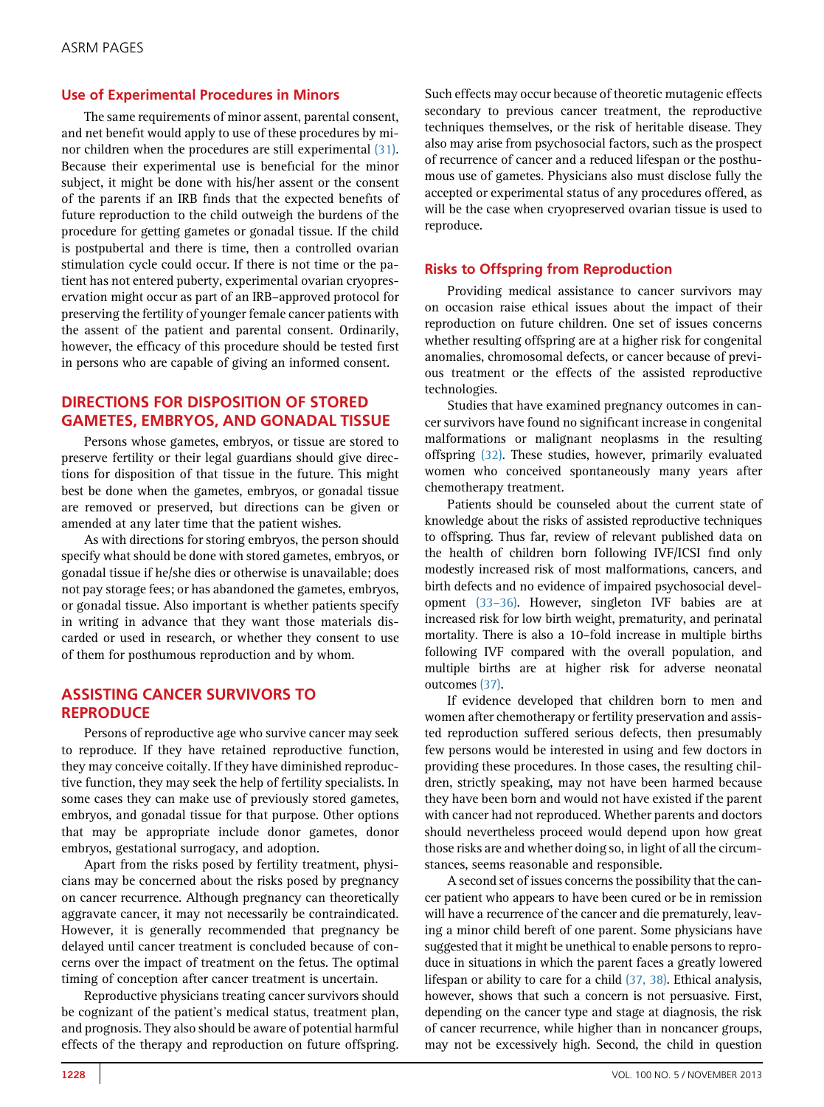## Use of Experimental Procedures in Minors

The same requirements of minor assent, parental consent, and net benefit would apply to use of these procedures by minor children when the procedures are still experimental [\(31\).](#page-7-0) Because their experimental use is beneficial for the minor subject, it might be done with his/her assent or the consent of the parents if an IRB finds that the expected benefits of future reproduction to the child outweigh the burdens of the procedure for getting gametes or gonadal tissue. If the child is postpubertal and there is time, then a controlled ovarian stimulation cycle could occur. If there is not time or the patient has not entered puberty, experimental ovarian cryopreservation might occur as part of an IRB–approved protocol for preserving the fertility of younger female cancer patients with the assent of the patient and parental consent. Ordinarily, however, the efficacy of this procedure should be tested first in persons who are capable of giving an informed consent.

# DIRECTIONS FOR DISPOSITION OF STORED GAMETES, EMBRYOS, AND GONADAL TISSUE

Persons whose gametes, embryos, or tissue are stored to preserve fertility or their legal guardians should give directions for disposition of that tissue in the future. This might best be done when the gametes, embryos, or gonadal tissue are removed or preserved, but directions can be given or amended at any later time that the patient wishes.

As with directions for storing embryos, the person should specify what should be done with stored gametes, embryos, or gonadal tissue if he/she dies or otherwise is unavailable; does not pay storage fees; or has abandoned the gametes, embryos, or gonadal tissue. Also important is whether patients specify in writing in advance that they want those materials discarded or used in research, or whether they consent to use of them for posthumous reproduction and by whom.

## ASSISTING CANCER SURVIVORS TO **REPRODUCE**

Persons of reproductive age who survive cancer may seek to reproduce. If they have retained reproductive function, they may conceive coitally. If they have diminished reproductive function, they may seek the help of fertility specialists. In some cases they can make use of previously stored gametes, embryos, and gonadal tissue for that purpose. Other options that may be appropriate include donor gametes, donor embryos, gestational surrogacy, and adoption.

Apart from the risks posed by fertility treatment, physicians may be concerned about the risks posed by pregnancy on cancer recurrence. Although pregnancy can theoretically aggravate cancer, it may not necessarily be contraindicated. However, it is generally recommended that pregnancy be delayed until cancer treatment is concluded because of concerns over the impact of treatment on the fetus. The optimal timing of conception after cancer treatment is uncertain.

Reproductive physicians treating cancer survivors should be cognizant of the patient's medical status, treatment plan, and prognosis. They also should be aware of potential harmful effects of the therapy and reproduction on future offspring. Such effects may occur because of theoretic mutagenic effects secondary to previous cancer treatment, the reproductive techniques themselves, or the risk of heritable disease. They also may arise from psychosocial factors, such as the prospect of recurrence of cancer and a reduced lifespan or the posthumous use of gametes. Physicians also must disclose fully the accepted or experimental status of any procedures offered, as will be the case when cryopreserved ovarian tissue is used to reproduce.

### Risks to Offspring from Reproduction

Providing medical assistance to cancer survivors may on occasion raise ethical issues about the impact of their reproduction on future children. One set of issues concerns whether resulting offspring are at a higher risk for congenital anomalies, chromosomal defects, or cancer because of previous treatment or the effects of the assisted reproductive technologies.

Studies that have examined pregnancy outcomes in cancer survivors have found no significant increase in congenital malformations or malignant neoplasms in the resulting offspring [\(32\)](#page-7-0). These studies, however, primarily evaluated women who conceived spontaneously many years after chemotherapy treatment.

Patients should be counseled about the current state of knowledge about the risks of assisted reproductive techniques to offspring. Thus far, review of relevant published data on the health of children born following IVF/ICSI find only modestly increased risk of most malformations, cancers, and birth defects and no evidence of impaired psychosocial development (33–[36\).](#page-7-0) However, singleton IVF babies are at increased risk for low birth weight, prematurity, and perinatal mortality. There is also a 10–fold increase in multiple births following IVF compared with the overall population, and multiple births are at higher risk for adverse neonatal outcomes [\(37\)](#page-7-0).

If evidence developed that children born to men and women after chemotherapy or fertility preservation and assisted reproduction suffered serious defects, then presumably few persons would be interested in using and few doctors in providing these procedures. In those cases, the resulting children, strictly speaking, may not have been harmed because they have been born and would not have existed if the parent with cancer had not reproduced. Whether parents and doctors should nevertheless proceed would depend upon how great those risks are and whether doing so, in light of all the circumstances, seems reasonable and responsible.

A second set of issues concerns the possibility that the cancer patient who appears to have been cured or be in remission will have a recurrence of the cancer and die prematurely, leaving a minor child bereft of one parent. Some physicians have suggested that it might be unethical to enable persons to reproduce in situations in which the parent faces a greatly lowered lifespan or ability to care for a child [\(37, 38\)](#page-7-0). Ethical analysis, however, shows that such a concern is not persuasive. First, depending on the cancer type and stage at diagnosis, the risk of cancer recurrence, while higher than in noncancer groups, may not be excessively high. Second, the child in question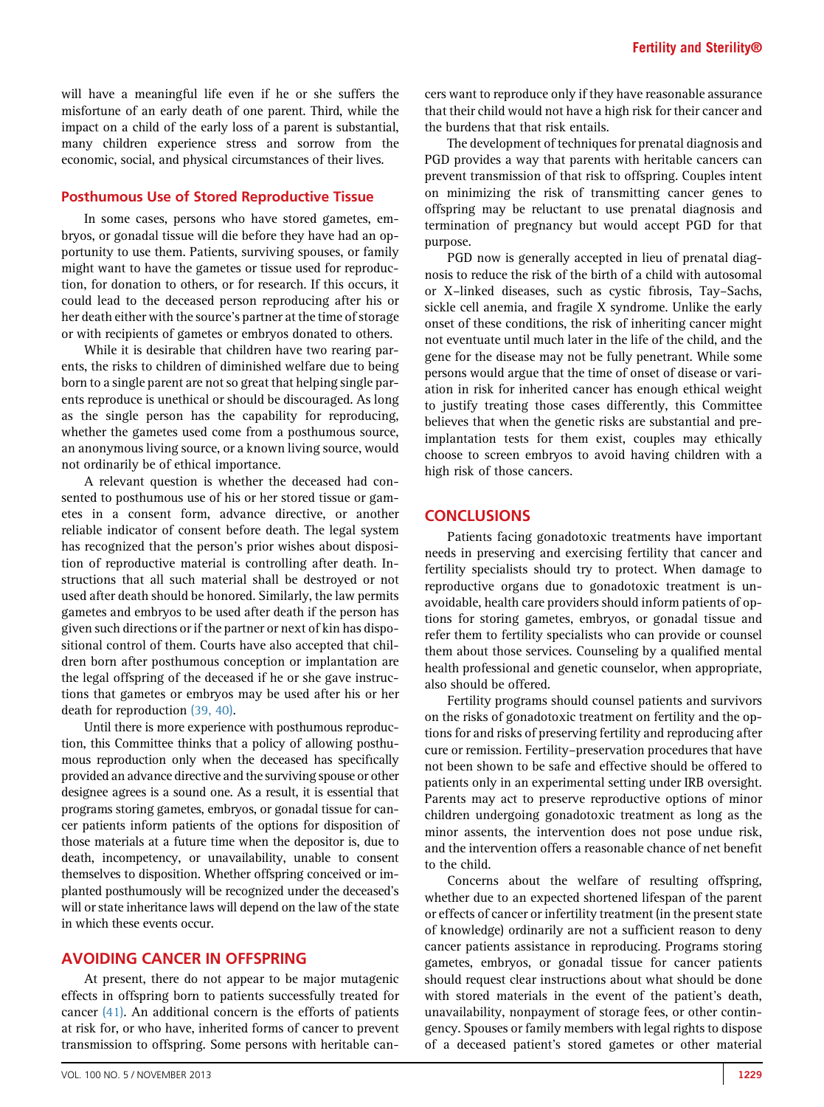will have a meaningful life even if he or she suffers the misfortune of an early death of one parent. Third, while the impact on a child of the early loss of a parent is substantial, many children experience stress and sorrow from the economic, social, and physical circumstances of their lives.

#### Posthumous Use of Stored Reproductive Tissue

In some cases, persons who have stored gametes, embryos, or gonadal tissue will die before they have had an opportunity to use them. Patients, surviving spouses, or family might want to have the gametes or tissue used for reproduction, for donation to others, or for research. If this occurs, it could lead to the deceased person reproducing after his or her death either with the source's partner at the time of storage or with recipients of gametes or embryos donated to others.

While it is desirable that children have two rearing parents, the risks to children of diminished welfare due to being born to a single parent are not so great that helping single parents reproduce is unethical or should be discouraged. As long as the single person has the capability for reproducing, whether the gametes used come from a posthumous source, an anonymous living source, or a known living source, would not ordinarily be of ethical importance.

A relevant question is whether the deceased had consented to posthumous use of his or her stored tissue or gametes in a consent form, advance directive, or another reliable indicator of consent before death. The legal system has recognized that the person's prior wishes about disposition of reproductive material is controlling after death. Instructions that all such material shall be destroyed or not used after death should be honored. Similarly, the law permits gametes and embryos to be used after death if the person has given such directions or if the partner or next of kin has dispositional control of them. Courts have also accepted that children born after posthumous conception or implantation are the legal offspring of the deceased if he or she gave instructions that gametes or embryos may be used after his or her death for reproduction [\(39, 40\).](#page-7-0)

Until there is more experience with posthumous reproduction, this Committee thinks that a policy of allowing posthumous reproduction only when the deceased has specifically provided an advance directive and the surviving spouse or other designee agrees is a sound one. As a result, it is essential that programs storing gametes, embryos, or gonadal tissue for cancer patients inform patients of the options for disposition of those materials at a future time when the depositor is, due to death, incompetency, or unavailability, unable to consent themselves to disposition. Whether offspring conceived or implanted posthumously will be recognized under the deceased's will or state inheritance laws will depend on the law of the state in which these events occur.

### AVOIDING CANCER IN OFFSPRING

At present, there do not appear to be major mutagenic effects in offspring born to patients successfully treated for cancer [\(41\)](#page-7-0). An additional concern is the efforts of patients at risk for, or who have, inherited forms of cancer to prevent transmission to offspring. Some persons with heritable cancers want to reproduce only if they have reasonable assurance that their child would not have a high risk for their cancer and the burdens that that risk entails.

The development of techniques for prenatal diagnosis and PGD provides a way that parents with heritable cancers can prevent transmission of that risk to offspring. Couples intent on minimizing the risk of transmitting cancer genes to offspring may be reluctant to use prenatal diagnosis and termination of pregnancy but would accept PGD for that purpose.

PGD now is generally accepted in lieu of prenatal diagnosis to reduce the risk of the birth of a child with autosomal or X–linked diseases, such as cystic fibrosis, Tay–Sachs, sickle cell anemia, and fragile X syndrome. Unlike the early onset of these conditions, the risk of inheriting cancer might not eventuate until much later in the life of the child, and the gene for the disease may not be fully penetrant. While some persons would argue that the time of onset of disease or variation in risk for inherited cancer has enough ethical weight to justify treating those cases differently, this Committee believes that when the genetic risks are substantial and preimplantation tests for them exist, couples may ethically choose to screen embryos to avoid having children with a high risk of those cancers.

## **CONCLUSIONS**

Patients facing gonadotoxic treatments have important needs in preserving and exercising fertility that cancer and fertility specialists should try to protect. When damage to reproductive organs due to gonadotoxic treatment is unavoidable, health care providers should inform patients of options for storing gametes, embryos, or gonadal tissue and refer them to fertility specialists who can provide or counsel them about those services. Counseling by a qualified mental health professional and genetic counselor, when appropriate, also should be offered.

Fertility programs should counsel patients and survivors on the risks of gonadotoxic treatment on fertility and the options for and risks of preserving fertility and reproducing after cure or remission. Fertility–preservation procedures that have not been shown to be safe and effective should be offered to patients only in an experimental setting under IRB oversight. Parents may act to preserve reproductive options of minor children undergoing gonadotoxic treatment as long as the minor assents, the intervention does not pose undue risk, and the intervention offers a reasonable chance of net benefit to the child.

Concerns about the welfare of resulting offspring, whether due to an expected shortened lifespan of the parent or effects of cancer or infertility treatment (in the present state of knowledge) ordinarily are not a sufficient reason to deny cancer patients assistance in reproducing. Programs storing gametes, embryos, or gonadal tissue for cancer patients should request clear instructions about what should be done with stored materials in the event of the patient's death, unavailability, nonpayment of storage fees, or other contingency. Spouses or family members with legal rights to dispose of a deceased patient's stored gametes or other material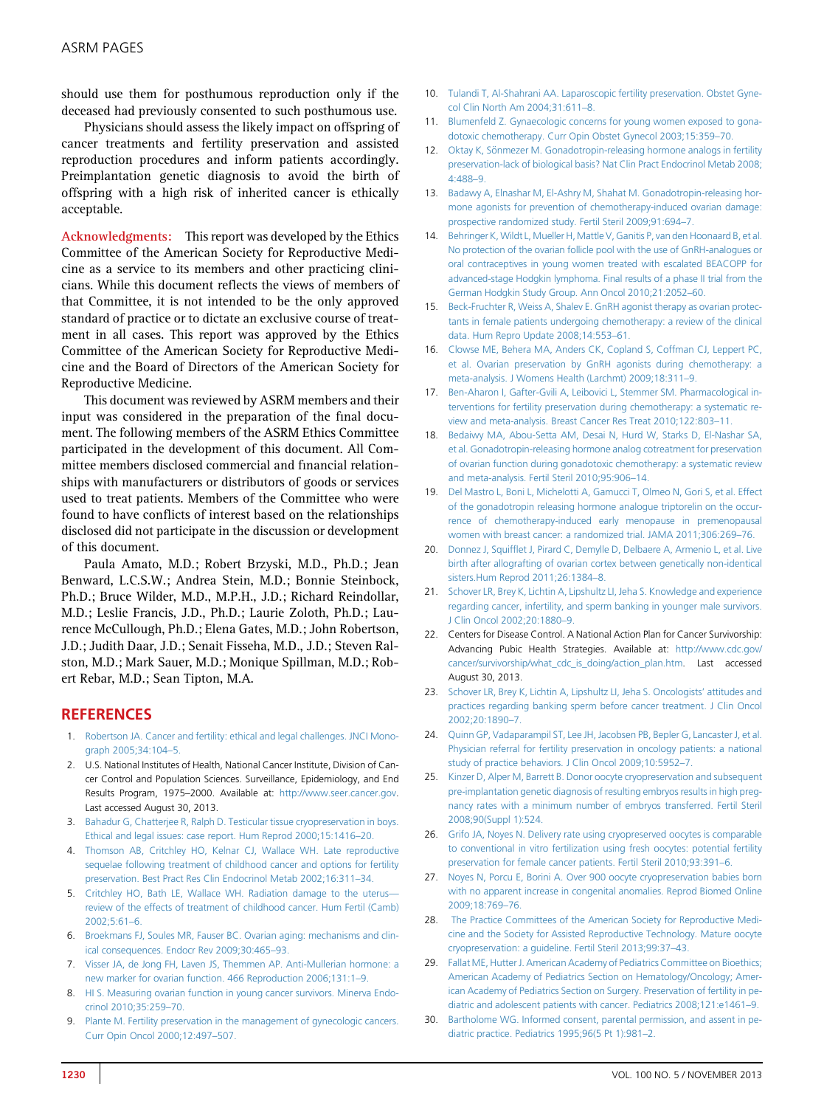<span id="page-6-0"></span>should use them for posthumous reproduction only if the deceased had previously consented to such posthumous use.

Physicians should assess the likely impact on offspring of cancer treatments and fertility preservation and assisted reproduction procedures and inform patients accordingly. Preimplantation genetic diagnosis to avoid the birth of offspring with a high risk of inherited cancer is ethically acceptable.

Acknowledgments: This report was developed by the Ethics Committee of the American Society for Reproductive Medicine as a service to its members and other practicing clinicians. While this document reflects the views of members of that Committee, it is not intended to be the only approved standard of practice or to dictate an exclusive course of treatment in all cases. This report was approved by the Ethics Committee of the American Society for Reproductive Medicine and the Board of Directors of the American Society for Reproductive Medicine.

This document was reviewed by ASRM members and their input was considered in the preparation of the final document. The following members of the ASRM Ethics Committee participated in the development of this document. All Committee members disclosed commercial and financial relationships with manufacturers or distributors of goods or services used to treat patients. Members of the Committee who were found to have conflicts of interest based on the relationships disclosed did not participate in the discussion or development of this document.

Paula Amato, M.D.; Robert Brzyski, M.D., Ph.D.; Jean Benward, L.C.S.W.; Andrea Stein, M.D.; Bonnie Steinbock, Ph.D.; Bruce Wilder, M.D., M.P.H., J.D.; Richard Reindollar, M.D.; Leslie Francis, J.D., Ph.D.; Laurie Zoloth, Ph.D.; Laurence McCullough, Ph.D.; Elena Gates, M.D.; John Robertson, J.D.; Judith Daar, J.D.; Senait Fisseha, M.D., J.D.; Steven Ralston, M.D.; Mark Sauer, M.D.; Monique Spillman, M.D.; Robert Rebar, M.D.; Sean Tipton, M.A.

## **REFERENCES**

- 1. [Robertson JA. Cancer and fertility: ethical and legal challenges. JNCI Mono](http://refhub.elsevier.com/S0015-0282(13)03007-0/sref1)[graph 2005;34:104](http://refhub.elsevier.com/S0015-0282(13)03007-0/sref1)–5.
- 2. U.S. National Institutes of Health, National Cancer Institute, Division of Cancer Control and Population Sciences. Surveillance, Epidemiology, and End Results Program, 1975–2000. Available at: <http://www.seer.cancer.gov>. Last accessed August 30, 2013.
- 3. [Bahadur G, Chatterjee R, Ralph D. Testicular tissue cryopreservation in boys.](http://refhub.elsevier.com/S0015-0282(13)03007-0/sref2) [Ethical and legal issues: case report. Hum Reprod 2000;15:1416](http://refhub.elsevier.com/S0015-0282(13)03007-0/sref2)–20.
- 4. [Thomson AB, Critchley HO, Kelnar CJ, Wallace WH. Late reproductive](http://refhub.elsevier.com/S0015-0282(13)03007-0/sref3) [sequelae following treatment of childhood cancer and options for fertility](http://refhub.elsevier.com/S0015-0282(13)03007-0/sref3) [preservation. Best Pract Res Clin Endocrinol Metab 2002;16:311](http://refhub.elsevier.com/S0015-0282(13)03007-0/sref3)–34.
- 5. [Critchley HO, Bath LE, Wallace WH. Radiation damage to the uterus](http://refhub.elsevier.com/S0015-0282(13)03007-0/sref4) [review of the effects of treatment of childhood cancer. Hum Fertil \(Camb\)](http://refhub.elsevier.com/S0015-0282(13)03007-0/sref4) [2002;5:61](http://refhub.elsevier.com/S0015-0282(13)03007-0/sref4)–6.
- 6. [Broekmans FJ, Soules MR, Fauser BC. Ovarian aging: mechanisms and clin](http://refhub.elsevier.com/S0015-0282(13)03007-0/sref5)[ical consequences. Endocr Rev 2009;30:465](http://refhub.elsevier.com/S0015-0282(13)03007-0/sref5)–93.
- 7. [Visser JA, de Jong FH, Laven JS, Themmen AP. Anti-Mullerian hormone: a](http://refhub.elsevier.com/S0015-0282(13)03007-0/sref6) [new marker for ovarian function. 466 Reproduction 2006;131:1](http://refhub.elsevier.com/S0015-0282(13)03007-0/sref6)–9.
- 8. [HI S. Measuring ovarian function in young cancer survivors. Minerva Endo](http://refhub.elsevier.com/S0015-0282(13)03007-0/sref7)[crinol 2010;35:259](http://refhub.elsevier.com/S0015-0282(13)03007-0/sref7)–70.
- 9. [Plante M. Fertility preservation in the management of gynecologic cancers.](http://refhub.elsevier.com/S0015-0282(13)03007-0/sref8) [Curr Opin Oncol 2000;12:497](http://refhub.elsevier.com/S0015-0282(13)03007-0/sref8)–507.
- 10. [Tulandi T, Al-Shahrani AA. Laparoscopic fertility preservation. Obstet Gyne](http://refhub.elsevier.com/S0015-0282(13)03007-0/sref9)[col Clin North Am 2004;31:611](http://refhub.elsevier.com/S0015-0282(13)03007-0/sref9)–8.
- 11. [Blumenfeld Z. Gynaecologic concerns for young women exposed to gona](http://refhub.elsevier.com/S0015-0282(13)03007-0/sref10)[dotoxic chemotherapy. Curr Opin Obstet Gynecol 2003;15:359](http://refhub.elsevier.com/S0015-0282(13)03007-0/sref10)–70.
- 12. Oktay K, Sönmezer M. Gonadotropin-releasing hormone analogs in fertility [preservation-lack of biological basis? Nat Clin Pract Endocrinol Metab 2008;](http://refhub.elsevier.com/S0015-0282(13)03007-0/sref11) [4:488](http://refhub.elsevier.com/S0015-0282(13)03007-0/sref11)–9.
- 13. [Badawy A, Elnashar M, El-Ashry M, Shahat M. Gonadotropin-releasing hor](http://refhub.elsevier.com/S0015-0282(13)03007-0/sref12)[mone agonists for prevention of chemotherapy-induced ovarian damage:](http://refhub.elsevier.com/S0015-0282(13)03007-0/sref12) [prospective randomized study. Fertil Steril 2009;91:694](http://refhub.elsevier.com/S0015-0282(13)03007-0/sref12)–7.
- 14. [Behringer K, Wildt L, Mueller H, Mattle V, Ganitis P, van den Hoonaard B, et al.](http://refhub.elsevier.com/S0015-0282(13)03007-0/sref13) [No protection of the ovarian follicle pool with the use of GnRH-analogues or](http://refhub.elsevier.com/S0015-0282(13)03007-0/sref13) [oral contraceptives in young women treated with escalated BEACOPP for](http://refhub.elsevier.com/S0015-0282(13)03007-0/sref13) [advanced-stage Hodgkin lymphoma. Final results of a phase II trial from the](http://refhub.elsevier.com/S0015-0282(13)03007-0/sref13) [German Hodgkin Study Group. Ann Oncol 2010;21:2052](http://refhub.elsevier.com/S0015-0282(13)03007-0/sref13)–60.
- 15. [Beck-Fruchter R, Weiss A, Shalev E. GnRH agonist therapy as ovarian protec](http://refhub.elsevier.com/S0015-0282(13)03007-0/sref14)[tants in female patients undergoing chemotherapy: a review of the clinical](http://refhub.elsevier.com/S0015-0282(13)03007-0/sref14) [data. Hum Repro Update 2008;14:553](http://refhub.elsevier.com/S0015-0282(13)03007-0/sref14)–61.
- 16. [Clowse ME, Behera MA, Anders CK, Copland S, Coffman CJ, Leppert PC,](http://refhub.elsevier.com/S0015-0282(13)03007-0/sref15) [et al. Ovarian preservation by GnRH agonists during chemotherapy: a](http://refhub.elsevier.com/S0015-0282(13)03007-0/sref15) [meta-analysis. J Womens Health \(Larchmt\) 2009;18:311](http://refhub.elsevier.com/S0015-0282(13)03007-0/sref15)–9.
- 17. [Ben-Aharon I, Gafter-Gvili A, Leibovici L, Stemmer SM. Pharmacological in](http://refhub.elsevier.com/S0015-0282(13)03007-0/sref16)[terventions for fertility preservation during chemotherapy: a systematic re](http://refhub.elsevier.com/S0015-0282(13)03007-0/sref16)[view and meta-analysis. Breast Cancer Res Treat 2010;122:803](http://refhub.elsevier.com/S0015-0282(13)03007-0/sref16)–11.
- 18. [Bedaiwy MA, Abou-Setta AM, Desai N, Hurd W, Starks D, El-Nashar SA,](http://refhub.elsevier.com/S0015-0282(13)03007-0/sref17) [et al. Gonadotropin-releasing hormone analog cotreatment for preservation](http://refhub.elsevier.com/S0015-0282(13)03007-0/sref17) [of ovarian function during gonadotoxic chemotherapy: a systematic review](http://refhub.elsevier.com/S0015-0282(13)03007-0/sref17) [and meta-analysis. Fertil Steril 2010;95:906](http://refhub.elsevier.com/S0015-0282(13)03007-0/sref17)–14.
- 19. Del [Mastro L, Boni L, Michelotti A, Gamucci T, Olmeo N, Gori S, et al. Effect](http://refhub.elsevier.com/S0015-0282(13)03007-0/sref18) [of the gonadotropin releasing hormone analogue triptorelin on the occur](http://refhub.elsevier.com/S0015-0282(13)03007-0/sref18)[rence of chemotherapy-induced early menopause in premenopausal](http://refhub.elsevier.com/S0015-0282(13)03007-0/sref18) [women with breast cancer: a randomized trial. JAMA 2011;306:269](http://refhub.elsevier.com/S0015-0282(13)03007-0/sref18)–76.
- 20. Donnez J, Squiffl[et J, Pirard C, Demylle D, Delbaere A, Armenio L, et al. Live](http://refhub.elsevier.com/S0015-0282(13)03007-0/sref19) [birth after allografting of ovarian cortex between genetically non-identical](http://refhub.elsevier.com/S0015-0282(13)03007-0/sref19) [sisters.Hum Reprod 2011;26:1384](http://refhub.elsevier.com/S0015-0282(13)03007-0/sref19)–8.
- 21. [Schover LR, Brey K, Lichtin A, Lipshultz LI, Jeha S. Knowledge and experience](http://refhub.elsevier.com/S0015-0282(13)03007-0/sref20) [regarding cancer, infertility, and sperm banking in younger male survivors.](http://refhub.elsevier.com/S0015-0282(13)03007-0/sref20) [J Clin Oncol 2002;20:1880](http://refhub.elsevier.com/S0015-0282(13)03007-0/sref20)–9.
- 22. Centers for Disease Control. A National Action Plan for Cancer Survivorship: Advancing Pubic Health Strategies. Available at: [http://www.cdc.gov/](http://www.cdc.gov/cancer/survivorship/what_cdc_is_doing/action_plan.htm) [cancer/survivorship/what\\_cdc\\_is\\_doing/action\\_plan.htm.](http://www.cdc.gov/cancer/survivorship/what_cdc_is_doing/action_plan.htm) Last accessed August 30, 2013.
- 23. [Schover LR, Brey K, Lichtin A, Lipshultz LI, Jeha S. Oncologists](http://refhub.elsevier.com/S0015-0282(13)03007-0/sref21)' attitudes and [practices regarding banking sperm before cancer treatment. J Clin Oncol](http://refhub.elsevier.com/S0015-0282(13)03007-0/sref21) [2002;20:1890](http://refhub.elsevier.com/S0015-0282(13)03007-0/sref21)–7.
- 24. [Quinn GP, Vadaparampil ST, Lee JH, Jacobsen PB, Bepler G, Lancaster J, et al.](http://refhub.elsevier.com/S0015-0282(13)03007-0/sref22) [Physician referral for fertility preservation in oncology patients: a national](http://refhub.elsevier.com/S0015-0282(13)03007-0/sref22) [study of practice behaviors. J Clin Oncol 2009;10:5952](http://refhub.elsevier.com/S0015-0282(13)03007-0/sref22)–7.
- 25. [Kinzer D, Alper M, Barrett B. Donor oocyte cryopreservation and subsequent](http://refhub.elsevier.com/S0015-0282(13)03007-0/sref23) [pre-implantation genetic diagnosis of resulting embryos results in high preg](http://refhub.elsevier.com/S0015-0282(13)03007-0/sref23)[nancy rates with a minimum number of embryos transferred. Fertil Steril](http://refhub.elsevier.com/S0015-0282(13)03007-0/sref23) [2008;90\(Suppl 1\):524.](http://refhub.elsevier.com/S0015-0282(13)03007-0/sref23)
- 26. [Grifo JA, Noyes N. Delivery rate using cryopreserved oocytes is comparable](http://refhub.elsevier.com/S0015-0282(13)03007-0/sref24) [to conventional in vitro fertilization using fresh oocytes: potential fertility](http://refhub.elsevier.com/S0015-0282(13)03007-0/sref24) [preservation for female cancer patients. Fertil Steril 2010;93:391](http://refhub.elsevier.com/S0015-0282(13)03007-0/sref24)–6.
- 27. [Noyes N, Porcu E, Borini A. Over 900 oocyte cryopreservation babies born](http://refhub.elsevier.com/S0015-0282(13)03007-0/sref25) [with no apparent increase in congenital anomalies. Reprod Biomed Online](http://refhub.elsevier.com/S0015-0282(13)03007-0/sref25) [2009;18:769](http://refhub.elsevier.com/S0015-0282(13)03007-0/sref25)–76.
- 28. [The Practice Committees of the American Society for Reproductive Medi](http://refhub.elsevier.com/S0015-0282(13)03007-0/sref26)[cine and the Society for Assisted Reproductive Technology. Mature oocyte](http://refhub.elsevier.com/S0015-0282(13)03007-0/sref26) [cryopreservation: a guideline. Fertil Steril 2013;99:37](http://refhub.elsevier.com/S0015-0282(13)03007-0/sref26)–43.
- 29. [Fallat ME, Hutter J. American Academy of Pediatrics Committee on Bioethics;](http://refhub.elsevier.com/S0015-0282(13)03007-0/sref27) [American Academy of Pediatrics Section on Hematology/Oncology; Amer](http://refhub.elsevier.com/S0015-0282(13)03007-0/sref27)[ican Academy of Pediatrics Section on Surgery. Preservation of fertility in pe](http://refhub.elsevier.com/S0015-0282(13)03007-0/sref27)[diatric and adolescent patients with cancer. Pediatrics 2008;121:e1461](http://refhub.elsevier.com/S0015-0282(13)03007-0/sref27)–9.
- 30. [Bartholome WG. Informed consent, parental permission, and assent in pe](http://refhub.elsevier.com/S0015-0282(13)03007-0/sref28)[diatric practice. Pediatrics 1995;96\(5 Pt 1\):981](http://refhub.elsevier.com/S0015-0282(13)03007-0/sref28)–2.